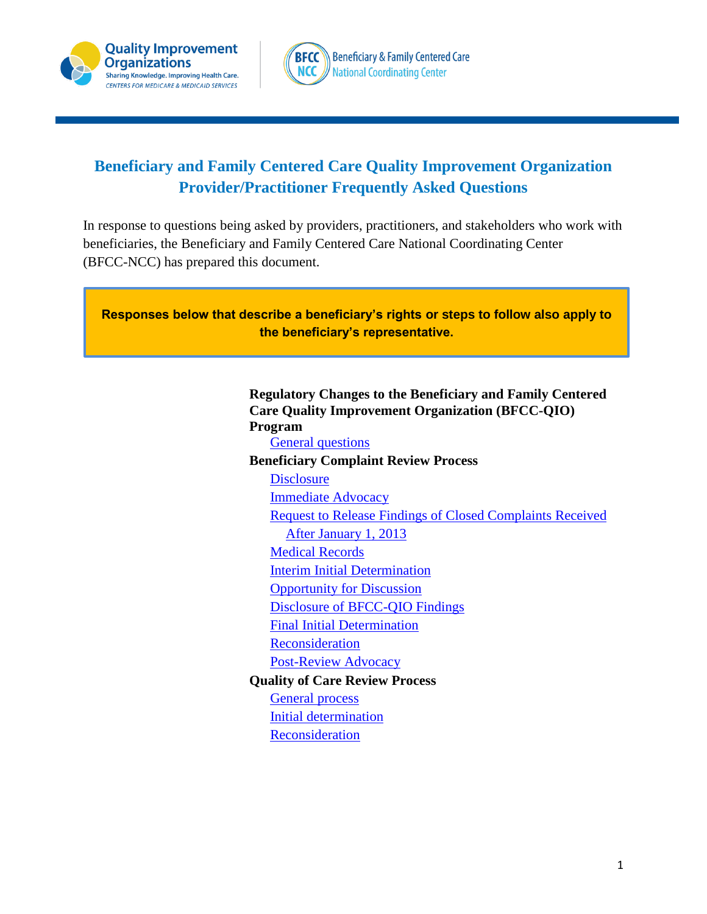



# **Beneficiary and Family Centered Care Quality Improvement Organization Provider/Practitioner Frequently Asked Questions**

In response to questions being asked by providers, practitioners, and stakeholders who work with beneficiaries, the Beneficiary and Family Centered Care National Coordinating Center (BFCC-NCC) has prepared this document.



# **Regulatory Changes to the Beneficiary and Family Centered Care Quality Improvement Organization (BFCC-QIO) Program**

[General questions](#page-1-0)

#### **Beneficiary Complaint Review Process**

**[Disclosure](#page-4-0)** [Immediate Advocacy](#page-1-1) [Request to Release Findings of Closed Complaints](#page-2-0) Received [After January 1, 2013](#page-2-0) [Medical Records](#page-2-1) [Interim Initial Determination](#page-3-0) [Opportunity for Discussion](#page-3-1) [Disclosure of BFCC-QIO Findings](#page-4-0) [Final Initial Determination](#page-4-1) [Reconsideration](#page-5-0) [Post-Review Advocacy](#page-6-0) **Quality of Care Review Process** [General](#page-7-0) process [Initial determination](#page-7-1) [Reconsideration](#page-7-2)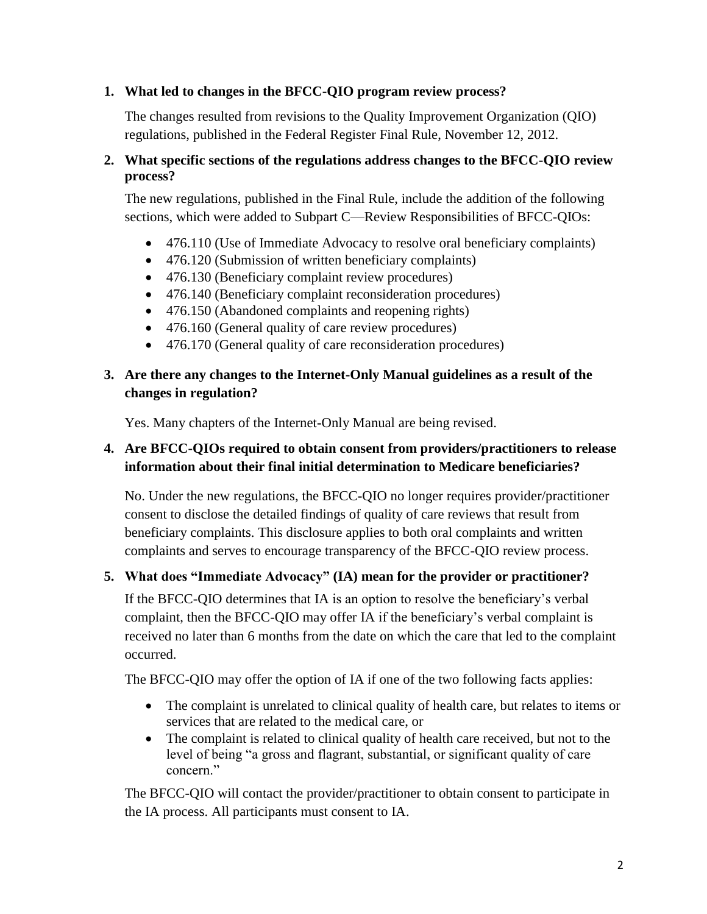## <span id="page-1-0"></span>**1. What led to changes in the BFCC-QIO program review process?**

The changes resulted from revisions to the Quality Improvement Organization (QIO) regulations, published in the Federal Register Final Rule, November 12, 2012.

# **2. What specific sections of the regulations address changes to the BFCC-QIO review process?**

The new regulations, published in the Final Rule, include the addition of the following sections, which were added to Subpart C—Review Responsibilities of BFCC-QIOs:

- 476.110 (Use of Immediate Advocacy to resolve oral beneficiary complaints)
- 476.120 (Submission of written beneficiary complaints)
- 476.130 (Beneficiary complaint review procedures)
- 476.140 (Beneficiary complaint reconsideration procedures)
- 476.150 (Abandoned complaints and reopening rights)
- 476.160 (General quality of care review procedures)
- 476.170 (General quality of care reconsideration procedures)

# **3. Are there any changes to the Internet-Only Manual guidelines as a result of the changes in regulation?**

Yes. Many chapters of the Internet**-**Only Manual are being revised.

# **4. Are BFCC-QIOs required to obtain consent from providers/practitioners to release information about their final initial determination to Medicare beneficiaries?**

No. Under the new regulations, the BFCC**-**QIO no longer requires provider/practitioner consent to disclose the detailed findings of quality of care reviews that result from beneficiary complaints. This disclosure applies to both oral complaints and written complaints and serves to encourage transparency of the BFCC-QIO review process.

# <span id="page-1-1"></span>**5. What does "Immediate Advocacy" (IA) mean for the provider or practitioner?**

If the BFCC-QIO determines that IA is an option to resolve the beneficiary's verbal complaint, then the BFCC-QIO may offer IA if the beneficiary's verbal complaint is received no later than 6 months from the date on which the care that led to the complaint occurred.

The BFCC-QIO may offer the option of IA if one of the two following facts applies:

- The complaint is unrelated to clinical quality of health care, but relates to items or services that are related to the medical care, or
- The complaint is related to clinical quality of health care received, but not to the level of being "a gross and flagrant, substantial, or significant quality of care concern<sup>"</sup>

The BFCC-QIO will contact the provider/practitioner to obtain consent to participate in the IA process. All participants must consent to IA.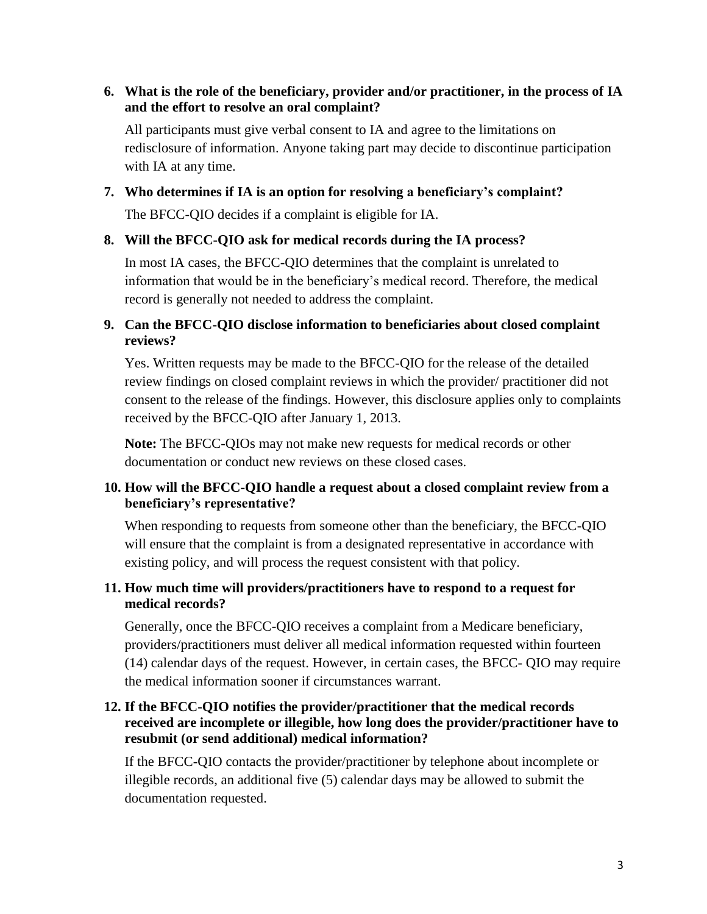#### **6. What is the role of the beneficiary, provider and/or practitioner, in the process of IA and the effort to resolve an oral complaint?**

All participants must give verbal consent to IA and agree to the limitations on redisclosure of information. Anyone taking part may decide to discontinue participation with IA at any time.

#### **7. Who determines if IA is an option for resolving a beneficiary's complaint?**

The BFCC-QIO decides if a complaint is eligible for IA.

#### **8. Will the BFCC-QIO ask for medical records during the IA process?**

In most IA cases, the BFCC-QIO determines that the complaint is unrelated to information that would be in the beneficiary's medical record. Therefore, the medical record is generally not needed to address the complaint.

## <span id="page-2-0"></span>**9. Can the BFCC-QIO disclose information to beneficiaries about closed complaint reviews?**

Yes. Written requests may be made to the BFCC-QIO for the release of the detailed review findings on closed complaint reviews in which the provider/ practitioner did not consent to the release of the findings. However, this disclosure applies only to complaints received by the BFCC-QIO after January 1, 2013.

**Note:** The BFCC-QIOs may not make new requests for medical records or other documentation or conduct new reviews on these closed cases.

### **10. How will the BFCC-QIO handle a request about a closed complaint review from a beneficiary's representative?**

When responding to requests from someone other than the beneficiary, the BFCC-QIO will ensure that the complaint is from a designated representative in accordance with existing policy, and will process the request consistent with that policy.

### <span id="page-2-1"></span>**11. How much time will providers/practitioners have to respond to a request for medical records?**

Generally, once the BFCC-QIO receives a complaint from a Medicare beneficiary, providers/practitioners must deliver all medical information requested within fourteen (14) calendar days of the request. However, in certain cases, the BFCC- QIO may require the medical information sooner if circumstances warrant.

### **12. If the BFCC-QIO notifies the provider/practitioner that the medical records received are incomplete or illegible, how long does the provider/practitioner have to resubmit (or send additional) medical information?**

If the BFCC-QIO contacts the provider/practitioner by telephone about incomplete or illegible records, an additional five (5) calendar days may be allowed to submit the documentation requested.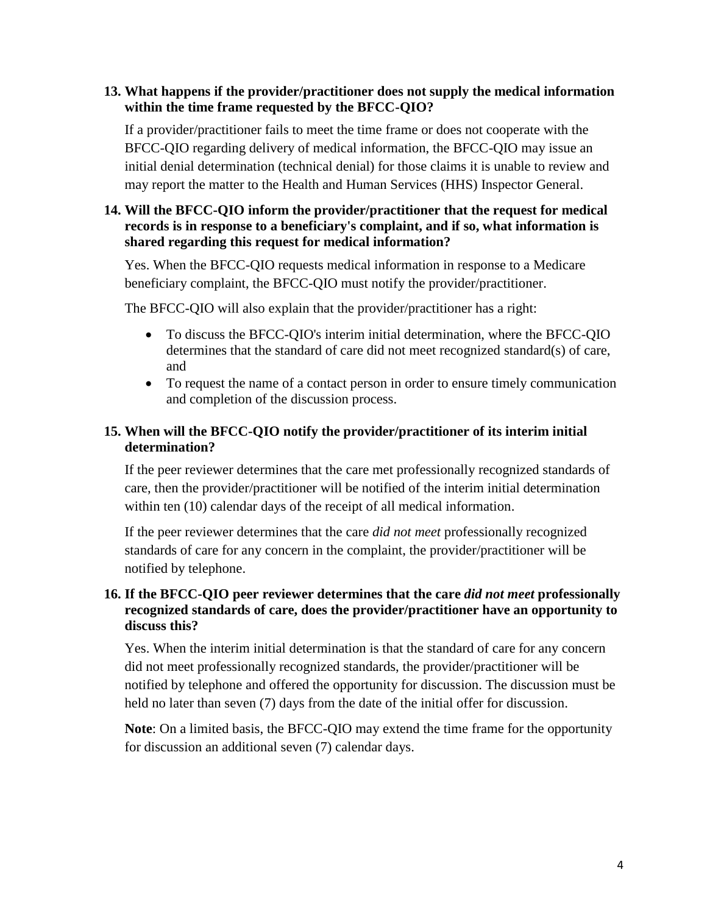#### **13. What happens if the provider/practitioner does not supply the medical information within the time frame requested by the BFCC-QIO?**

If a provider/practitioner fails to meet the time frame or does not cooperate with the BFCC-QIO regarding delivery of medical information, the BFCC-QIO may issue an initial denial determination (technical denial) for those claims it is unable to review and may report the matter to the Health and Human Services (HHS) Inspector General.

# **14. Will the BFCC-QIO inform the provider/practitioner that the request for medical records is in response to a beneficiary's complaint, and if so, what information is shared regarding this request for medical information?**

Yes. When the BFCC-QIO requests medical information in response to a Medicare beneficiary complaint, the BFCC-QIO must notify the provider/practitioner.

The BFCC-QIO will also explain that the provider/practitioner has a right:

- To discuss the BFCC-QIO's interim initial determination, where the BFCC-QIO determines that the standard of care did not meet recognized standard(s) of care, and
- To request the name of a contact person in order to ensure timely communication and completion of the discussion process.

# <span id="page-3-0"></span>**15. When will the BFCC-QIO notify the provider/practitioner of its interim initial determination?**

If the peer reviewer determines that the care met professionally recognized standards of care, then the provider/practitioner will be notified of the interim initial determination within ten (10) calendar days of the receipt of all medical information.

If the peer reviewer determines that the care *did not meet* professionally recognized standards of care for any concern in the complaint, the provider/practitioner will be notified by telephone.

# <span id="page-3-1"></span>**16. If the BFCC-QIO peer reviewer determines that the care** *did not meet* **professionally recognized standards of care, does the provider/practitioner have an opportunity to discuss this?**

Yes. When the interim initial determination is that the standard of care for any concern did not meet professionally recognized standards, the provider/practitioner will be notified by telephone and offered the opportunity for discussion. The discussion must be held no later than seven (7) days from the date of the initial offer for discussion.

**Note**: On a limited basis, the BFCC-QIO may extend the time frame for the opportunity for discussion an additional seven (7) calendar days.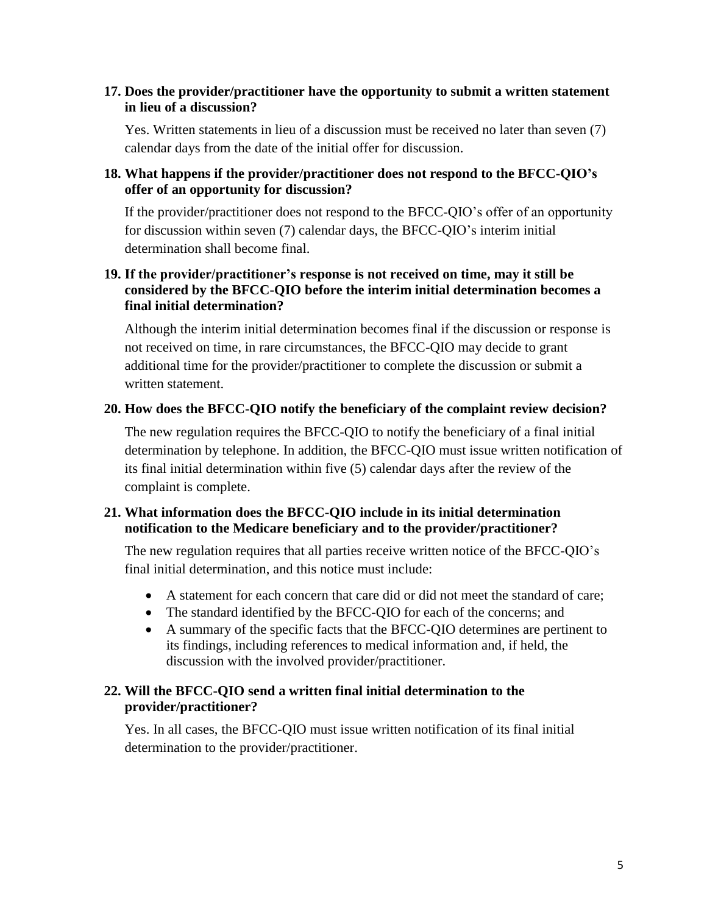#### **17. Does the provider/practitioner have the opportunity to submit a written statement in lieu of a discussion?**

Yes. Written statements in lieu of a discussion must be received no later than seven (7) calendar days from the date of the initial offer for discussion.

### **18. What happens if the provider/practitioner does not respond to the BFCC-QIO's offer of an opportunity for discussion?**

If the provider/practitioner does not respond to the BFCC-QIO's offer of an opportunity for discussion within seven (7) calendar days, the BFCC-QIO's interim initial determination shall become final.

### **19. If the provider/practitioner's response is not received on time, may it still be considered by the BFCC-QIO before the interim initial determination becomes a final initial determination?**

Although the interim initial determination becomes final if the discussion or response is not received on time, in rare circumstances, the BFCC-QIO may decide to grant additional time for the provider/practitioner to complete the discussion or submit a written statement.

### <span id="page-4-0"></span>**20. How does the BFCC-QIO notify the beneficiary of the complaint review decision?**

The new regulation requires the BFCC-QIO to notify the beneficiary of a final initial determination by telephone. In addition, the BFCC-QIO must issue written notification of its final initial determination within five (5) calendar days after the review of the complaint is complete.

### **21. What information does the BFCC-QIO include in its initial determination notification to the Medicare beneficiary and to the provider/practitioner?**

The new regulation requires that all parties receive written notice of the BFCC-QIO's final initial determination, and this notice must include:

- A statement for each concern that care did or did not meet the standard of care;
- The standard identified by the BFCC-QIO for each of the concerns; and
- A summary of the specific facts that the BFCC-QIO determines are pertinent to its findings, including references to medical information and, if held, the discussion with the involved provider/practitioner.

# <span id="page-4-1"></span>**22. Will the BFCC-QIO send a written final initial determination to the provider/practitioner?**

Yes. In all cases, the BFCC-QIO must issue written notification of its final initial determination to the provider/practitioner.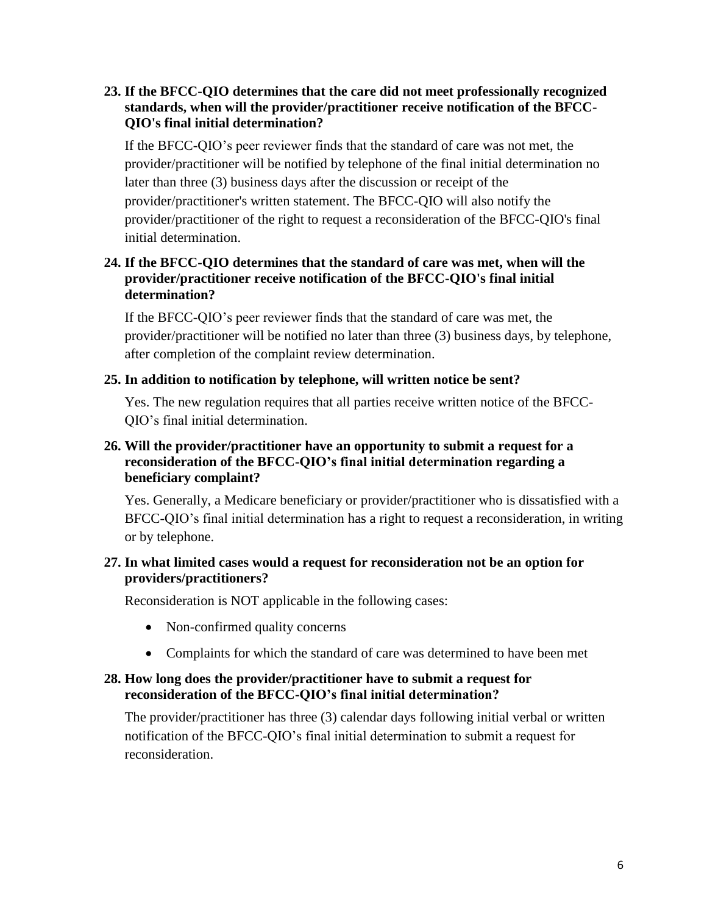## **23. If the BFCC-QIO determines that the care did not meet professionally recognized standards, when will the provider/practitioner receive notification of the BFCC-QIO's final initial determination?**

If the BFCC-QIO's peer reviewer finds that the standard of care was not met, the provider/practitioner will be notified by telephone of the final initial determination no later than three (3) business days after the discussion or receipt of the provider/practitioner's written statement. The BFCC-QIO will also notify the provider/practitioner of the right to request a reconsideration of the BFCC-QIO's final initial determination.

## **24. If the BFCC-QIO determines that the standard of care was met, when will the provider/practitioner receive notification of the BFCC-QIO's final initial determination?**

If the BFCC-QIO's peer reviewer finds that the standard of care was met, the provider/practitioner will be notified no later than three (3) business days, by telephone, after completion of the complaint review determination.

### **25. In addition to notification by telephone, will written notice be sent?**

Yes. The new regulation requires that all parties receive written notice of the BFCC-QIO's final initial determination.

### <span id="page-5-0"></span>**26. Will the provider/practitioner have an opportunity to submit a request for a reconsideration of the BFCC-QIO's final initial determination regarding a beneficiary complaint?**

Yes. Generally, a Medicare beneficiary or provider/practitioner who is dissatisfied with a BFCC-QIO's final initial determination has a right to request a reconsideration, in writing or by telephone.

### **27. In what limited cases would a request for reconsideration not be an option for providers/practitioners?**

Reconsideration is NOT applicable in the following cases:

- Non-confirmed quality concerns
- Complaints for which the standard of care was determined to have been met

#### **28. How long does the provider/practitioner have to submit a request for reconsideration of the BFCC-QIO's final initial determination?**

The provider/practitioner has three (3) calendar days following initial verbal or written notification of the BFCC-QIO's final initial determination to submit a request for reconsideration.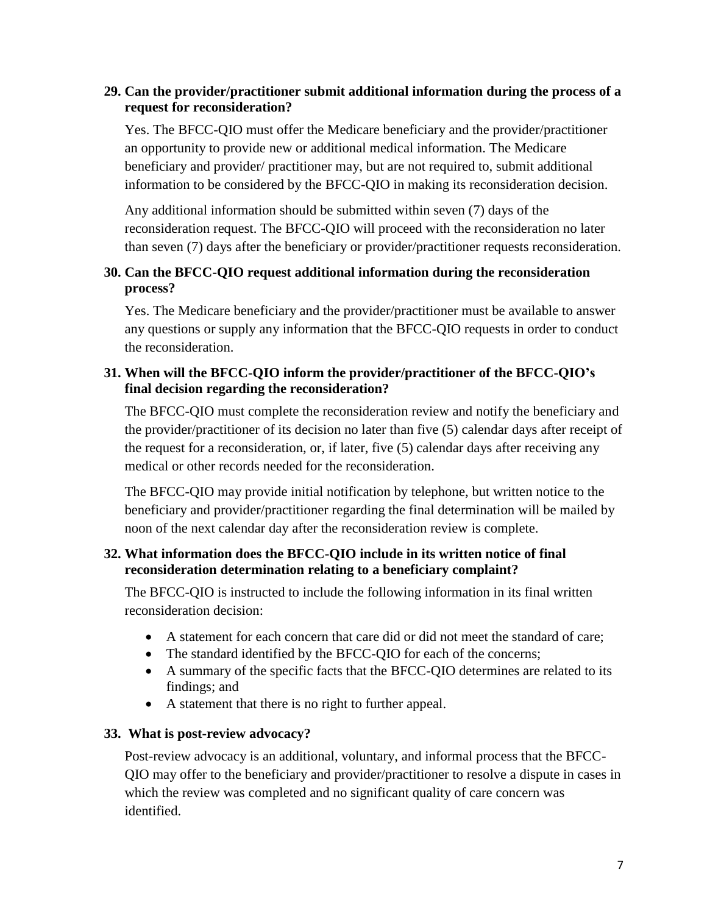# **29. Can the provider/practitioner submit additional information during the process of a request for reconsideration?**

Yes. The BFCC-QIO must offer the Medicare beneficiary and the provider/practitioner an opportunity to provide new or additional medical information. The Medicare beneficiary and provider/ practitioner may, but are not required to, submit additional information to be considered by the BFCC-QIO in making its reconsideration decision.

Any additional information should be submitted within seven (7) days of the reconsideration request. The BFCC-QIO will proceed with the reconsideration no later than seven (7) days after the beneficiary or provider/practitioner requests reconsideration.

# **30. Can the BFCC-QIO request additional information during the reconsideration process?**

Yes. The Medicare beneficiary and the provider/practitioner must be available to answer any questions or supply any information that the BFCC-QIO requests in order to conduct the reconsideration.

### **31. When will the BFCC-QIO inform the provider/practitioner of the BFCC-QIO's final decision regarding the reconsideration?**

The BFCC-QIO must complete the reconsideration review and notify the beneficiary and the provider/practitioner of its decision no later than five (5) calendar days after receipt of the request for a reconsideration, or, if later, five (5) calendar days after receiving any medical or other records needed for the reconsideration.

The BFCC-QIO may provide initial notification by telephone, but written notice to the beneficiary and provider/practitioner regarding the final determination will be mailed by noon of the next calendar day after the reconsideration review is complete.

### **32. What information does the BFCC-QIO include in its written notice of final reconsideration determination relating to a beneficiary complaint?**

The BFCC-QIO is instructed to include the following information in its final written reconsideration decision:

- A statement for each concern that care did or did not meet the standard of care;
- The standard identified by the BFCC-QIO for each of the concerns;
- A summary of the specific facts that the BFCC-QIO determines are related to its findings; and
- A statement that there is no right to further appeal.

### <span id="page-6-0"></span>**33. What is post-review advocacy?**

Post-review advocacy is an additional, voluntary, and informal process that the BFCC-QIO may offer to the beneficiary and provider/practitioner to resolve a dispute in cases in which the review was completed and no significant quality of care concern was identified.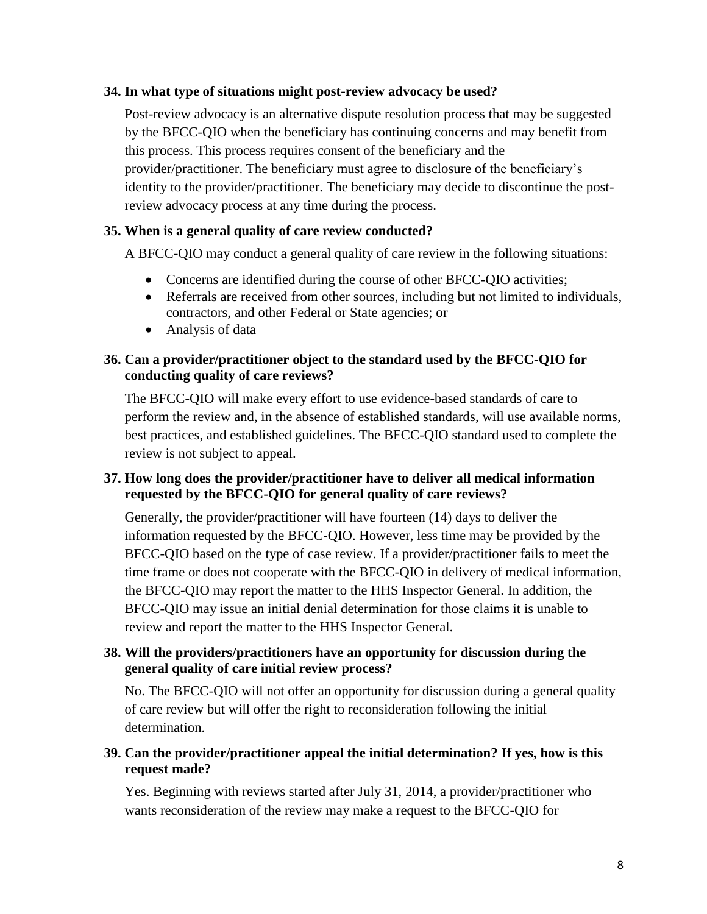#### **34. In what type of situations might post-review advocacy be used?**

Post-review advocacy is an alternative dispute resolution process that may be suggested by the BFCC-QIO when the beneficiary has continuing concerns and may benefit from this process. This process requires consent of the beneficiary and the provider/practitioner. The beneficiary must agree to disclosure of the beneficiary's identity to the provider/practitioner. The beneficiary may decide to discontinue the postreview advocacy process at any time during the process.

#### <span id="page-7-0"></span>**35. When is a general quality of care review conducted?**

A BFCC-QIO may conduct a general quality of care review in the following situations:

- Concerns are identified during the course of other BFCC-QIO activities;
- Referrals are received from other sources, including but not limited to individuals, contractors, and other Federal or State agencies; or
- Analysis of data

#### **36. Can a provider/practitioner object to the standard used by the BFCC-QIO for conducting quality of care reviews?**

The BFCC-QIO will make every effort to use evidence-based standards of care to perform the review and, in the absence of established standards, will use available norms, best practices, and established guidelines. The BFCC-QIO standard used to complete the review is not subject to appeal.

# **37. How long does the provider/practitioner have to deliver all medical information requested by the BFCC-QIO for general quality of care reviews?**

Generally, the provider/practitioner will have fourteen (14) days to deliver the information requested by the BFCC-QIO. However, less time may be provided by the BFCC-QIO based on the type of case review. If a provider/practitioner fails to meet the time frame or does not cooperate with the BFCC-QIO in delivery of medical information, the BFCC-QIO may report the matter to the HHS Inspector General. In addition, the BFCC-QIO may issue an initial denial determination for those claims it is unable to review and report the matter to the HHS Inspector General.

### <span id="page-7-1"></span>**38. Will the providers/practitioners have an opportunity for discussion during the general quality of care initial review process?**

No. The BFCC-QIO will not offer an opportunity for discussion during a general quality of care review but will offer the right to reconsideration following the initial determination.

# <span id="page-7-2"></span>**39. Can the provider/practitioner appeal the initial determination? If yes, how is this request made?**

Yes. Beginning with reviews started after July 31, 2014, a provider/practitioner who wants reconsideration of the review may make a request to the BFCC-QIO for